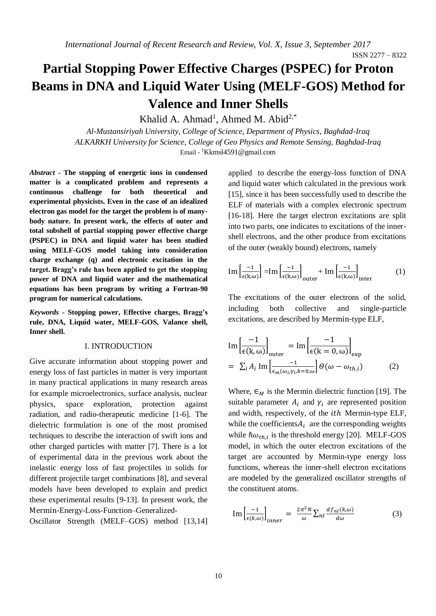# **Partial Stopping Power Effective Charges (PSPEC) for Proton Beams in DNA and Liquid Water Using (MELF-GOS) Method for Valence and Inner Shells**

Khalid A. Ahmad<sup>1</sup>, Ahmed M. Abid<sup>2,\*</sup>

*Al-Mustansiriyah University, College of Science, Department of Physics, Baghdad-Iraq ALKARKH University for Science, College of Geo Physics and Remote Sensing, Baghdad-Iraq* Email - <sup>1</sup>[Kkmsl4591@gmail.com](mailto:Kkmsl4591@gmail.com)

*Abstract* **- The stopping of energetic ions in condensed matter is a complicated problem and represents a continuous challenge for both theoretical and experimental physicists. Even in the case of an idealized electron gas model for the target the problem is of manybody nature. In present work, the effects of outer and total subshell of partial stopping power effective charge (PSPEC) in DNA and liquid water has been studied using MELF-GOS model taking into consideration charge exchange (q) and electronic excitation in the target. Bragg's rule has been applied to get the stopping power of DNA and liquid water and the mathematical equations has been program by writing a Fortran-90 program for numerical calculations.**

*Keywords -* **Stopping power, Effective charges, Bragg's rule, DNA, Liquid water, MELF-GOS, Valance shell, Inner shell.**

### I. INTRODUCTION

Give accurate information about stopping power and energy loss of fast particles in matter is very important in many practical applications in many research areas for example microelectronics, surface analysis, nuclear physics, space exploration, protection against radiation, and radio-therapeutic medicine [1-6]. The dielectric formulation is one of the most promised techniques to describe the interaction of swift ions and other charged particles with matter [7]. There is a lot of experimental data in the previous work about the inelastic energy loss of fast projectiles in solids for different projectile target combinations [8], and several models have been developed to explain and predict these experimental results [9-13]. In present work, the Mermin-Energy-Loss-Function–Generalized-

Oscillator Strength (MELF–GOS) method [13,14]

applied to describe the energy-loss function of DNA and liquid water which calculated in the previous work [15], since it has been successfully used to describe the ELF of materials with a complex electronic spectrum [16-18]. Here the target electron excitations are split into two parts, one indicates to excitations of the innershell electrons, and the other produce from excitations of the outer (weakly bound) electrons, namely

$$
\operatorname{Im}\left[\frac{-1}{\epsilon(k,\omega)}\right] = \operatorname{Im}\left[\frac{-1}{\epsilon(k,\omega)}\right]_{\text{outer}} + \operatorname{Im}\left[\frac{-1}{\epsilon(k,\omega)}\right]_{\text{inter}}
$$
(1)

The excitations of the outer electrons of the solid, including both collective and single-particle excitations, are described by Mermin-type ELF,

$$
\text{Im}\left[\frac{-1}{\epsilon(k,\omega)}\right]_{\text{outer}} = \text{Im}\left[\frac{-1}{\epsilon(k=0,\omega)}\right]_{\text{exp}}
$$
\n
$$
= \sum_{i} A_{i} \text{Im}\left[\frac{-1}{\epsilon_{m}(\omega_{i}\gamma_{i}k=0,\omega)}\right] \Theta(\omega-\omega_{th,i}) \tag{2}
$$

Where,  $\epsilon_M$  is the Mermin dielectric function [19]. The suitable parameter  $A_i$  and  $\gamma_i$  are represented position and width, respectively, of the *ith* Mermin-type ELF, while the coefficients  $A_i$  are the corresponding weights while  $\hbar \omega_{th,i}$  is the threshold energy [20]. MELF-GOS model, in which the outer electron excitations of the target are accounted by Mermin-type energy loss functions, whereas the inner-shell electron excitations are modeled by the generalized oscillator strengths of the constituent atoms.

$$
\text{Im}\left[\frac{-1}{\epsilon(k,\omega)}\right]_{inner} = \frac{2\pi^2 N}{\omega} \sum_{nl} \frac{df_{nl}(k,\omega)}{d\omega} \tag{3}
$$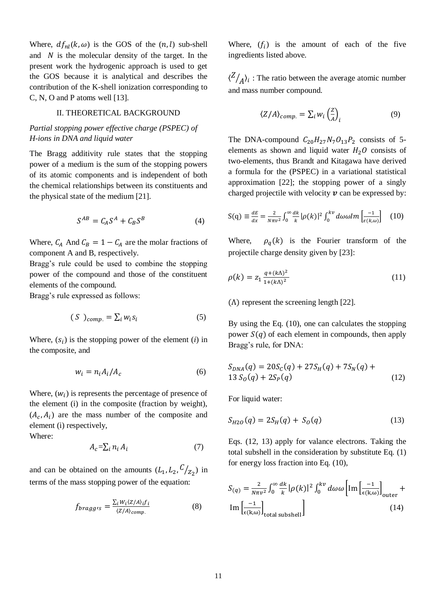Where,  $df_{nl}(k, \omega)$  is the GOS of the  $(n, l)$  sub-shell and  $N$  is the molecular density of the target. In the present work the hydrogenic approach is used to get the GOS because it is analytical and describes the contribution of the K-shell ionization corresponding to C, N, O and P atoms well [13].

## II. THEORETICAL BACKGROUND

## *Partial stopping power effective charge (PSPEC) of H-ions in DNA and liquid water*

The Bragg additivity rule states that the stopping power of a medium is the sum of the stopping powers of its atomic components and is independent of both the chemical relationships between its constituents and the physical state of the medium [21].

$$
S^{AB} = C_A S^A + C_B S^B \tag{4}
$$

Where,  $C_A$  And  $C_B = 1 - C_A$  are the molar fractions of component A and B, respectively.

Bragg's rule could be used to combine the stopping power of the compound and those of the constituent elements of the compound.

Bragg's rule expressed as follows:

$$
(S)_{comp.} = \sum_{i} w_i s_i \tag{5}
$$

Where,  $(s_i)$  is the stopping power of the element  $(i)$  in the composite, and

$$
w_i = n_i A_i / A_c \tag{6}
$$

Where,  $(w_i)$  is represents the percentage of presence of the element (i) in the composite (fraction by weight),  $(A_c, A_i)$  are the mass number of the composite and element (i) respectively,

Where:

$$
A_c = \sum_i n_i A_i \tag{7}
$$

and can be obtained on the amounts  $(L_1, L_2, C/_{Z_2})$  in terms of the mass stopping power of the equation:

$$
f_{braggs} = \frac{\sum_{i} W_{i} \langle Z/A \rangle_{if}}{\langle Z/A \rangle_{comp.}} \tag{8}
$$

Where,  $(f_i)$  is the amount of each of the five ingredients listed above.

 $\langle \frac{Z}{A} \rangle_i$ : The ratio between the average atomic number and mass number compound.

$$
\langle Z/A \rangle_{comp.} = \sum_{i} w_i \left(\frac{Z}{A}\right)_i \tag{9}
$$

The DNA-compound  $C_{20}H_{27}N_7O_{13}P_2$  consists of 5elements as shown and liquid water  $H_2O$  consists of two-elements, thus Brandt and Kitagawa have derived a formula for the (PSPEC) in a variational statistical approximation [22]; the stopping power of a singly charged projectile with velocity  $\nu$  can be expressed by:

$$
S(q) \equiv \frac{dE}{dx} = \frac{2}{N\pi v^2} \int_0^\infty \frac{dk}{k} |\rho(k)|^2 \int_0^{k\upsilon} d\omega \omega Im\left[\frac{-1}{\epsilon(k,\omega)}\right] \quad (10)
$$

Where,  $\rho_q(k)$  is the Fourier transform of the projectile charge density given by [23]:

$$
\rho(k) = z_1 \frac{q + (k\Lambda)^2}{1 + (k\Lambda)^2} \tag{11}
$$

(Λ) represent the screening length [22].

By using the Eq. (10), one can calculates the stopping power  $S(q)$  of each element in compounds, then apply Bragg's rule, for DNA:

$$
S_{DNA}(q) = 20S_C(q) + 27S_H(q) + 7S_N(q) + 13S_O(q) + 2S_P(q)
$$
\n(12)

For liquid water:

$$
S_{H2O}(q) = 2S_H(q) + S_O(q)
$$
\n(13)

Eqs. (12, 13) apply for valance electrons. Taking the total subshell in the consideration by substitute Eq. (1) for energy loss fraction into Eq. (10),

$$
S_{(q)} = \frac{2}{N\pi v^2} \int_0^\infty \frac{dk}{k} |\rho(k)|^2 \int_0^{kv} d\omega \omega \left[ \text{Im} \left[ \frac{-1}{\epsilon(k,\omega)} \right]_{\text{outer}} + \text{Im} \left[ \frac{-1}{\epsilon(k,\omega)} \right]_{\text{total subshell}} \right]
$$
(14)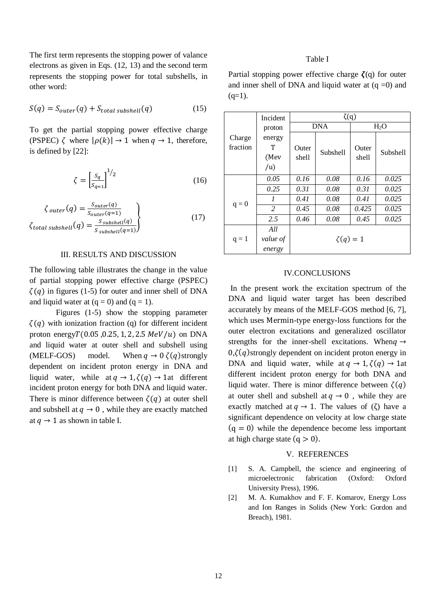The first term represents the stopping power of valance electrons as given in Eqs. (12, 13) and the second term represents the stopping power for total subshells, in other word:

$$
S(q) = S_{outer}(q) + S_{total \, subshell}(q)
$$
 (15)

To get the partial stopping power effective charge (PSPEC)  $\zeta$  where  $|\rho(k)| \rightarrow 1$  when  $q \rightarrow 1$ , therefore, is defined by [22]:

$$
\zeta = \left[\frac{s_q}{s_{q=1}}\right]^{1/2} \tag{16}
$$

$$
\zeta_{outer}(q) = \frac{S_{outer}(q)}{S_{outer}(q=1)}
$$
\n
$$
\zeta_{total \; subshell}(q) = \frac{S_{\; subshell}(q)}{S_{\; subshell}(q=1)}
$$
\n(17)

## III. RESULTS AND DISCUSSION

The following table illustrates the change in the value of partial stopping power effective charge (PSPEC)  $\zeta(q)$  in figures (1-5) for outer and inner shell of DNA and liquid water at  $(q = 0)$  and  $(q = 1)$ .

Figures (1-5) show the stopping parameter  $\zeta(q)$  with ionization fraction (q) for different incident proton energy $T(0.05, 0.25, 1, 2, 2.5 \text{ MeV}/u)$  on DNA and liquid water at outer shell and subshell using (MELF-GOS) model. When  $q \to 0 \zeta(q)$ strongly dependent on incident proton energy in DNA and liquid water, while at  $q \to 1, \zeta(q) \to 1$ at different incident proton energy for both DNA and liquid water. There is minor difference between  $\zeta(q)$  at outer shell and subshell at  $q \rightarrow 0$ , while they are exactly matched at  $q \rightarrow 1$  as shown in table I.

### Table I

Partial stopping power effective charge  $\zeta(q)$  for outer and inner shell of DNA and liquid water at  $(q = 0)$  and  $(q=1)$ .

|          | Incident       | $\zeta(q)$   |          |                  |          |
|----------|----------------|--------------|----------|------------------|----------|
|          | proton         | <b>DNA</b>   |          | H <sub>2</sub> O |          |
| Charge   | energy         |              |          |                  |          |
| fraction | т              | Outer        | Subshell | Outer<br>shell   | Subshell |
|          | (Mey           | shell        |          |                  |          |
|          | $\overline{u}$ |              |          |                  |          |
|          | 0.05           | 0.16         | 0.08     | 0.16             | 0.025    |
| $q = 0$  | 0.25           | 0.31         | 0.08     | 0.31             | 0.025    |
|          | 1              | 0.41         | 0.08     | 0.41             | 0.025    |
|          | 2              | 0.45         | 0.08     | 0.425            | 0.025    |
|          | 2.5            | 0.46         | 0.08     | 0.45             | 0.025    |
| $q = 1$  | All            |              |          |                  |          |
|          | value of       | $\zeta(q)=1$ |          |                  |          |
|          | energy         |              |          |                  |          |

#### IV.CONCLUSIONS

In the present work the excitation spectrum of the DNA and liquid water target has been described accurately by means of the MELF-GOS method [6, 7], which uses Mermin-type energy-loss functions for the outer electron excitations and generalized oscillator strengths for the inner-shell excitations. When  $\rightarrow$  $0,\zeta(q)$  strongly dependent on incident proton energy in DNA and liquid water, while at  $q \to 1, \zeta(q) \to 1$ at different incident proton energy for both DNA and liquid water. There is minor difference between  $\zeta(q)$ at outer shell and subshell at  $q \to 0$ , while they are exactly matched at  $q \to 1$ . The values of (ζ) have a significant dependence on velocity at low charge state  $(q = 0)$  while the dependence become less important at high charge state  $(a > 0)$ .

## V. REFERENCES

- [1] S. A. Campbell, the science and engineering of microelectronic fabrication (Oxford: Oxford University Press), 1996.
- [2] M. A. Kumakhov and F. F. Komarov, Energy Loss and Ion Ranges in Solids (New York: Gordon and Breach), 1981.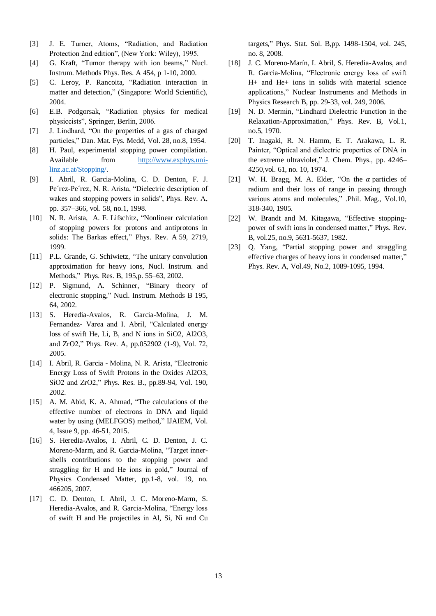- [3] J. E. Turner, Atoms, "Radiation, and Radiation Protection 2nd edition", (New York: Wiley), 1995.
- [4] G. Kraft, "Tumor therapy with ion beams," Nucl. Instrum. Methods Phys. Res. A 454, p 1-10, 2000.
- [5] C. Leroy, P. Rancoita, "Radiation interaction in matter and detection," (Singapore: World Scientific), 2004.
- [6] E.B. Podgorsak, "Radiation physics for medical physiccists", Springer, Berlin, 2006.
- [7] J. Lindhard, "On the properties of a gas of charged particles," Dan. Mat. Fys. Medd, Vol. 28, no.8, 1954.
- [8] H. Paul, experimental stopping power compilation. Available from [http://www.exphys.uni](http://www.exphys.uni-linz.ac.at/Stopping/)[linz.ac.at/Stopping/.](http://www.exphys.uni-linz.ac.at/Stopping/)
- [9] I. Abril, R. Garcia-Molina, C. D. Denton, F. J. Pe´rez-Pe´rez, N. R. Arista, "Dielectric description of wakes and stopping powers in solids", Phys. Rev. A, pp. 357–366, vol. 58, no.1, 1998.
- [10] N. R. Arista, A. F. Lifschitz, ["Nonlinear calculation](https://journals.aps.org/pra/abstract/10.1103/PhysRevA.59.2719)  [of stopping powers for protons and antiprotons in](https://journals.aps.org/pra/abstract/10.1103/PhysRevA.59.2719)  [solids: The Barkas effect,](https://journals.aps.org/pra/abstract/10.1103/PhysRevA.59.2719)" Phys. Rev. A 59, 2719, 1999.
- [11] P.L. Grande, G. Schiwietz, "The unitary convolution approximation for heavy ions, Nucl. Instrum. and Methods," Phys. Res. B, 195,p. 55–63, 2002.
- [12] [P. Sigmund, A. Schinner, "Binary theory of](http://www.sdu.dk/~/media/Files/Om_SDU/Institutter/Ifk/Forskning/PeterSigmund/nimb3.ashx)  electronic stopping," [Nucl. Instrum. Methods B 195,](http://www.sdu.dk/~/media/Files/Om_SDU/Institutter/Ifk/Forskning/PeterSigmund/nimb3.ashx)  [64, 2002.](http://www.sdu.dk/~/media/Files/Om_SDU/Institutter/Ifk/Forskning/PeterSigmund/nimb3.ashx)
- [13] S. Heredia-Avalos, R. Garcia-Molina, J. M. Fernandez- Varea and I. Abril, "Calculated energy loss of swift He, Li, B, and N ions in SiO2, Al2O3, and ZrO2," Phys. Rev. A, pp.052902 (1-9), Vol. 72, 2005.
- [14] I. Abril, R. Garcia Molina, N. R. Arista, "Electronic Energy Loss of Swift Protons in the Oxides Al2O3, SiO2 and ZrO2," Phys. Res. B., pp.89-94, Vol. 190, 2002.
- [15] A. M. Abid, K. A. Ahmad, "The calculations of the effective number of electrons in DNA and liquid water by using (MELFGOS) method," IJAIEM, Vol. 4, Issue 9, pp. 46-51, 2015.
- [16] S. Heredia-Avalos, I. Abril, C. D. Denton, J. C. Moreno-Marm, and R. Garcia-Molina, "Target innershells contributions to the stopping power and straggling for H and He ions in gold," Journal of Physics Condensed Matter, pp.1-8, vol. 19, no. 466205, 2007.
- [17] C. D. Denton, I. Abril, J. C. Moreno-Marm, S. Heredia-Avalos, and R. Garcia-Molina, "Energy loss of swift H and He projectiles in Al, Si, Ni and Cu

targets," Phys. Stat. Sol. B,pp. 1498-1504, vol. 245, no. 8, 2008.

- [18] J. C. Moreno-Marín, I. Abril, S. Heredia-Avalos, and R. Garcia-Molina, "Electronic energy loss of swift H+ and He+ ions in solids with material science applications," Nuclear Instruments and Methods in Physics Research B, pp. 29-33, vol. 249, 2006.
- [19] N. D. Mermin, "Lindhard Dielectric Function in the Relaxation-Approximation," Phys. Rev. B, Vol.1, no.5, 1970.
- [20] T. Inagaki, R. N. Hamm, E. T. Arakawa, L. R. Painter, "Optical and dielectric properties of DNA in the extreme ultraviolet," J. Chem. Phys., pp. 4246– 4250,vol. 61, no. 10, 1974.
- [21] W. H. Bragg, M. A. Elder, "On the  $\alpha$  particles of radium and their loss of range in passing through various atoms and molecules," .Phil. Mag., Vol.10, 318-340, 1905.
- [22] W. Brandt and M. Kitagawa, "Effective stoppingpower of swift ions in condensed matter," Phys. Rev. B, vol.25, no.9, 5631-5637, 1982.
- [23] Q. Yang, "Partial stopping power and straggling effective charges of heavy ions in condensed matter," Phys. Rev. A, Vol.49, No.2, 1089-1095, 1994.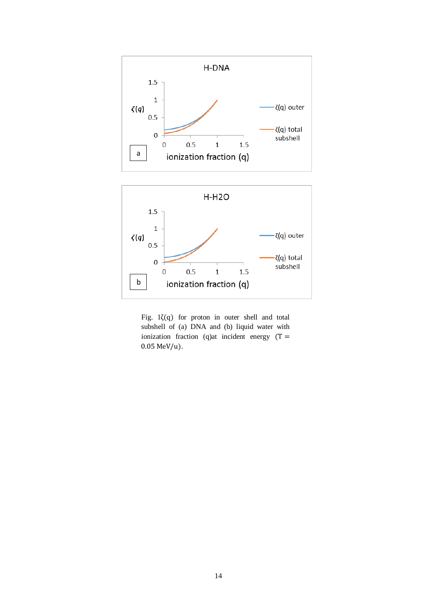



Fig.  $1\zeta(q)$  for proton in outer shell and total subshell of (a) DNA and (b) liquid water with ionization fraction (q)at incident energy  $(T =$ 0.05 MeV/u).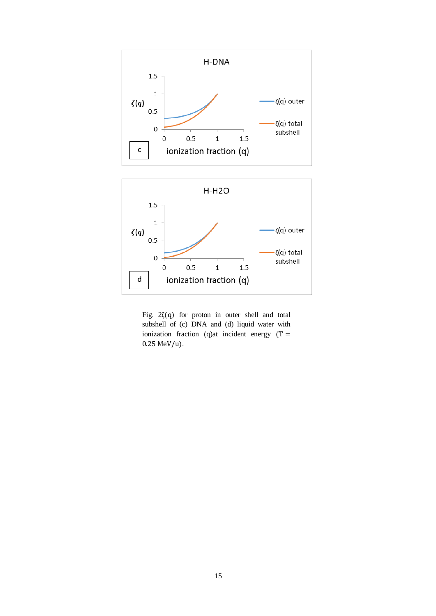

Fig. 2ζ(q) for proton in outer shell and total subshell of (c) DNA and (d) liquid water with ionization fraction (q) at incident energy  $(T =$ 0.25 MeV/u).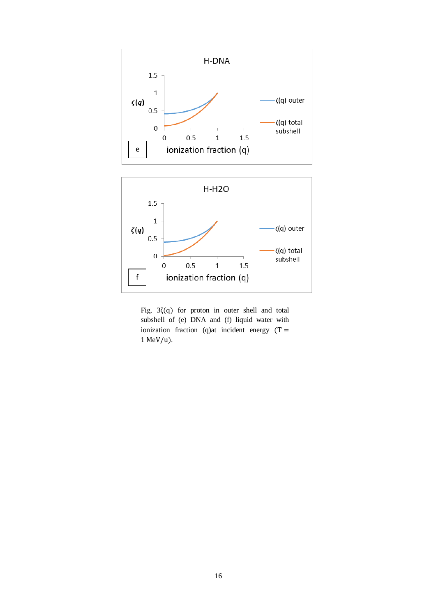



 $\mathbf{1}$ 

ionization fraction (q)

 $1.5$ 

f

 $\boldsymbol{0}$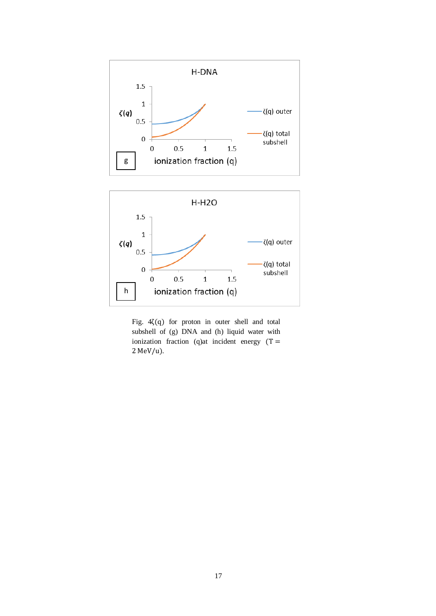



Fig. 4ζ(q) for proton in outer shell and total subshell of (g) DNA and (h) liquid water with ionization fraction (q)at incident energy  $(T =$ 2 MeV/u).